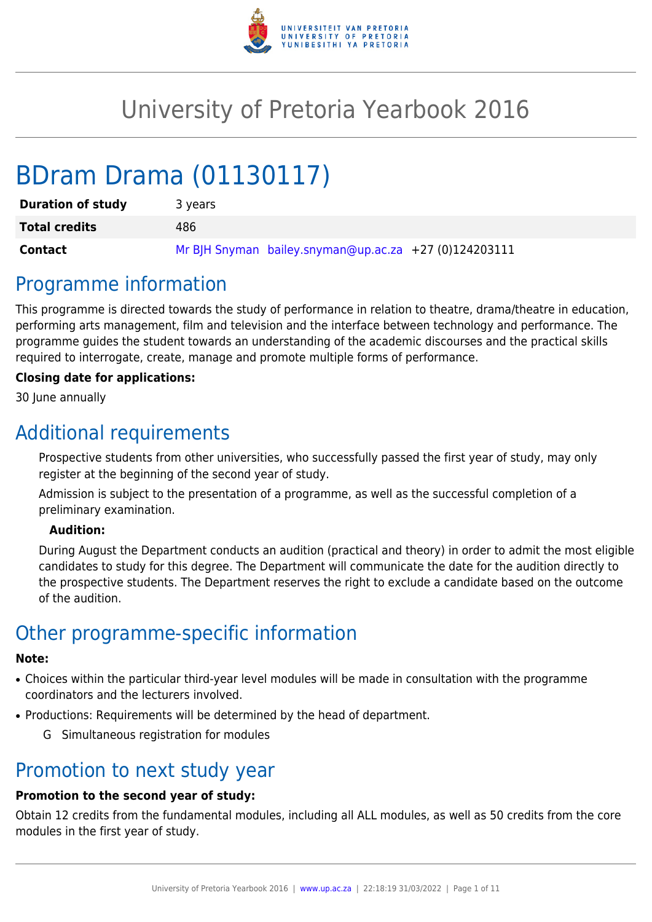

# University of Pretoria Yearbook 2016

# BDram Drama (01130117)

| <b>Duration of study</b> | 3 years                                                 |
|--------------------------|---------------------------------------------------------|
| <b>Total credits</b>     | 486                                                     |
| <b>Contact</b>           | Mr BJH Snyman bailey.snyman@up.ac.za $+27$ (0)124203111 |

# Programme information

This programme is directed towards the study of performance in relation to theatre, drama/theatre in education, performing arts management, film and television and the interface between technology and performance. The programme guides the student towards an understanding of the academic discourses and the practical skills required to interrogate, create, manage and promote multiple forms of performance.

#### **Closing date for applications:**

30 June annually

# Additional requirements

Prospective students from other universities, who successfully passed the first year of study, may only register at the beginning of the second year of study.

Admission is subject to the presentation of a programme, as well as the successful completion of a preliminary examination.

#### **Audition:**

During August the Department conducts an audition (practical and theory) in order to admit the most eligible candidates to study for this degree. The Department will communicate the date for the audition directly to the prospective students. The Department reserves the right to exclude a candidate based on the outcome of the audition.

# Other programme-specific information

#### **Note:**

- Choices within the particular third-year level modules will be made in consultation with the programme coordinators and the lecturers involved.
- Productions: Requirements will be determined by the head of department.
	- G Simultaneous registration for modules

### Promotion to next study year

### **Promotion to the second year of study:**

Obtain 12 credits from the fundamental modules, including all ALL modules, as well as 50 credits from the core modules in the first year of study.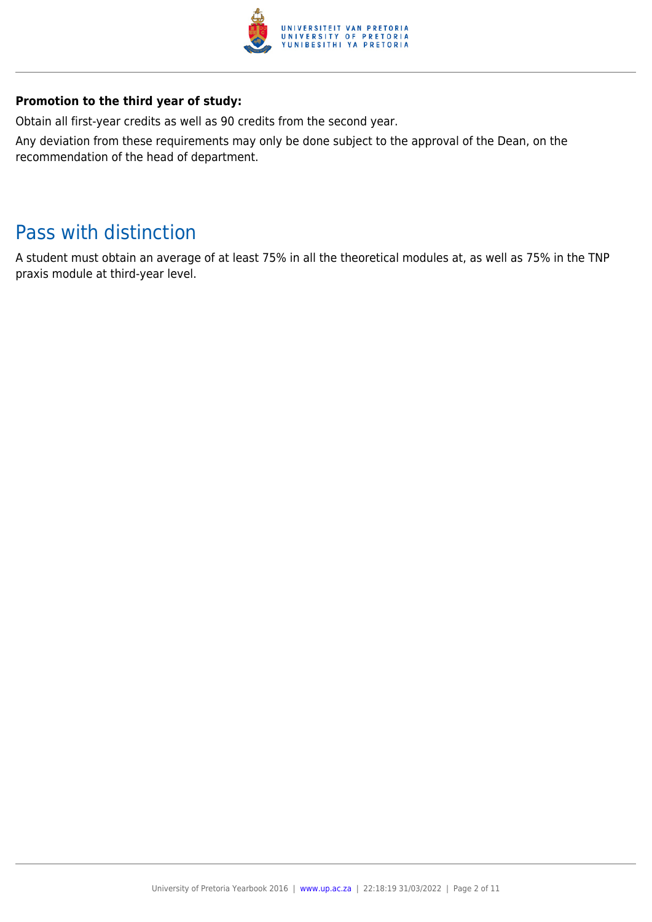

#### **Promotion to the third year of study:**

Obtain all first-year credits as well as 90 credits from the second year.

Any deviation from these requirements may only be done subject to the approval of the Dean, on the recommendation of the head of department.

# Pass with distinction

A student must obtain an average of at least 75% in all the theoretical modules at, as well as 75% in the TNP praxis module at third-year level.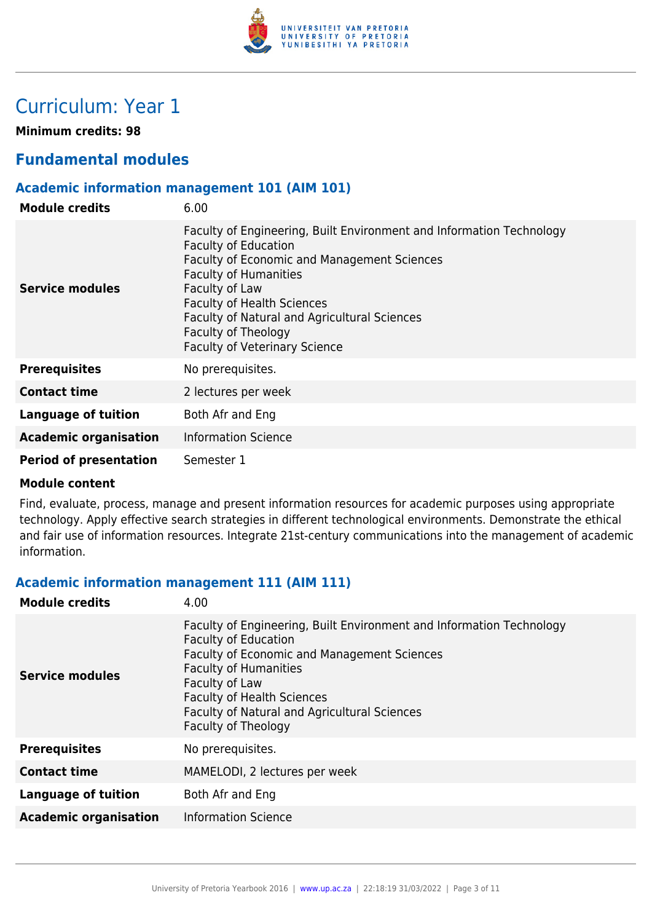

# Curriculum: Year 1

**Minimum credits: 98**

### **Fundamental modules**

#### **Academic information management 101 (AIM 101)**

| <b>Module credits</b>         | 6.00                                                                                                                                                                                                                                                                                                                                                     |
|-------------------------------|----------------------------------------------------------------------------------------------------------------------------------------------------------------------------------------------------------------------------------------------------------------------------------------------------------------------------------------------------------|
| Service modules               | Faculty of Engineering, Built Environment and Information Technology<br><b>Faculty of Education</b><br>Faculty of Economic and Management Sciences<br><b>Faculty of Humanities</b><br>Faculty of Law<br><b>Faculty of Health Sciences</b><br>Faculty of Natural and Agricultural Sciences<br>Faculty of Theology<br><b>Faculty of Veterinary Science</b> |
| <b>Prerequisites</b>          | No prerequisites.                                                                                                                                                                                                                                                                                                                                        |
| <b>Contact time</b>           | 2 lectures per week                                                                                                                                                                                                                                                                                                                                      |
| <b>Language of tuition</b>    | Both Afr and Eng                                                                                                                                                                                                                                                                                                                                         |
| <b>Academic organisation</b>  | <b>Information Science</b>                                                                                                                                                                                                                                                                                                                               |
| <b>Period of presentation</b> | Semester 1                                                                                                                                                                                                                                                                                                                                               |

#### **Module content**

Find, evaluate, process, manage and present information resources for academic purposes using appropriate technology. Apply effective search strategies in different technological environments. Demonstrate the ethical and fair use of information resources. Integrate 21st-century communications into the management of academic information.

#### **Academic information management 111 (AIM 111)**

| <b>Module credits</b>        | 4.00                                                                                                                                                                                                                                                                                                             |
|------------------------------|------------------------------------------------------------------------------------------------------------------------------------------------------------------------------------------------------------------------------------------------------------------------------------------------------------------|
| <b>Service modules</b>       | Faculty of Engineering, Built Environment and Information Technology<br><b>Faculty of Education</b><br>Faculty of Economic and Management Sciences<br><b>Faculty of Humanities</b><br>Faculty of Law<br><b>Faculty of Health Sciences</b><br>Faculty of Natural and Agricultural Sciences<br>Faculty of Theology |
| <b>Prerequisites</b>         | No prerequisites.                                                                                                                                                                                                                                                                                                |
| <b>Contact time</b>          | MAMELODI, 2 lectures per week                                                                                                                                                                                                                                                                                    |
| <b>Language of tuition</b>   | Both Afr and Eng                                                                                                                                                                                                                                                                                                 |
| <b>Academic organisation</b> | <b>Information Science</b>                                                                                                                                                                                                                                                                                       |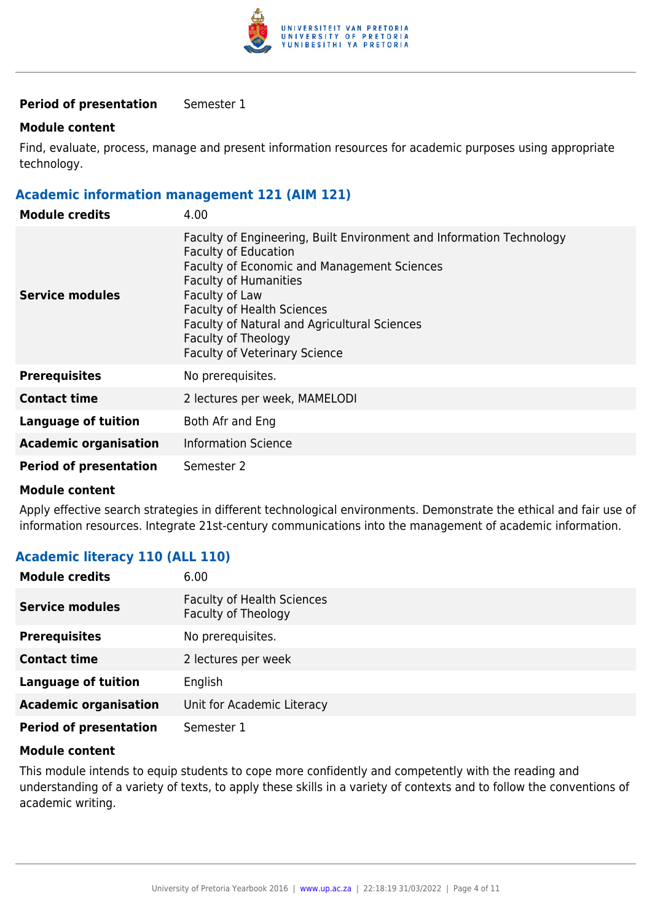

#### **Period of presentation** Semester 1

#### **Module content**

Find, evaluate, process, manage and present information resources for academic purposes using appropriate technology.

#### **Academic information management 121 (AIM 121)**

| <b>Module credits</b>         | 4.00                                                                                                                                                                                                                                                                                                                                                            |
|-------------------------------|-----------------------------------------------------------------------------------------------------------------------------------------------------------------------------------------------------------------------------------------------------------------------------------------------------------------------------------------------------------------|
| Service modules               | Faculty of Engineering, Built Environment and Information Technology<br><b>Faculty of Education</b><br><b>Faculty of Economic and Management Sciences</b><br><b>Faculty of Humanities</b><br>Faculty of Law<br><b>Faculty of Health Sciences</b><br>Faculty of Natural and Agricultural Sciences<br>Faculty of Theology<br><b>Faculty of Veterinary Science</b> |
| <b>Prerequisites</b>          | No prerequisites.                                                                                                                                                                                                                                                                                                                                               |
| <b>Contact time</b>           | 2 lectures per week, MAMELODI                                                                                                                                                                                                                                                                                                                                   |
| <b>Language of tuition</b>    | Both Afr and Eng                                                                                                                                                                                                                                                                                                                                                |
| <b>Academic organisation</b>  | <b>Information Science</b>                                                                                                                                                                                                                                                                                                                                      |
| <b>Period of presentation</b> | Semester 2                                                                                                                                                                                                                                                                                                                                                      |

#### **Module content**

Apply effective search strategies in different technological environments. Demonstrate the ethical and fair use of information resources. Integrate 21st-century communications into the management of academic information.

#### **Academic literacy 110 (ALL 110)**

| <b>Module credits</b>         | 6.00                                                     |
|-------------------------------|----------------------------------------------------------|
| <b>Service modules</b>        | <b>Faculty of Health Sciences</b><br>Faculty of Theology |
| <b>Prerequisites</b>          | No prerequisites.                                        |
| <b>Contact time</b>           | 2 lectures per week                                      |
| <b>Language of tuition</b>    | English                                                  |
| <b>Academic organisation</b>  | Unit for Academic Literacy                               |
| <b>Period of presentation</b> | Semester 1                                               |

#### **Module content**

This module intends to equip students to cope more confidently and competently with the reading and understanding of a variety of texts, to apply these skills in a variety of contexts and to follow the conventions of academic writing.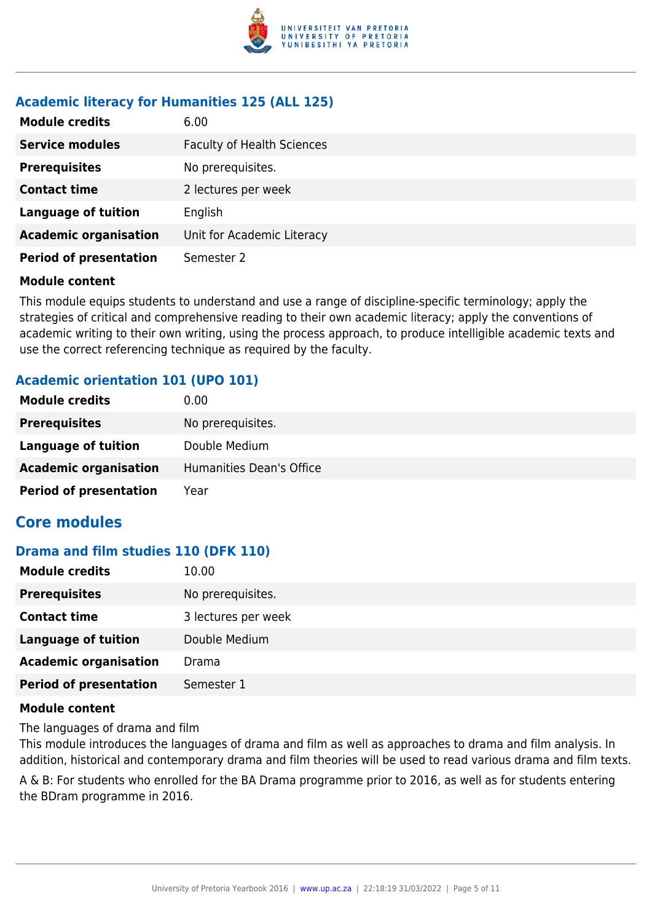

#### **Academic literacy for Humanities 125 (ALL 125)**

| <b>Module credits</b>         | 6.00                              |
|-------------------------------|-----------------------------------|
| <b>Service modules</b>        | <b>Faculty of Health Sciences</b> |
| <b>Prerequisites</b>          | No prerequisites.                 |
| <b>Contact time</b>           | 2 lectures per week               |
| <b>Language of tuition</b>    | English                           |
| <b>Academic organisation</b>  | Unit for Academic Literacy        |
| <b>Period of presentation</b> | Semester 2                        |

#### **Module content**

This module equips students to understand and use a range of discipline-specific terminology; apply the strategies of critical and comprehensive reading to their own academic literacy; apply the conventions of academic writing to their own writing, using the process approach, to produce intelligible academic texts and use the correct referencing technique as required by the faculty.

#### **Academic orientation 101 (UPO 101)**

| <b>Module credits</b>         | 0.00                     |
|-------------------------------|--------------------------|
| <b>Prerequisites</b>          | No prerequisites.        |
| Language of tuition           | Double Medium            |
| <b>Academic organisation</b>  | Humanities Dean's Office |
| <b>Period of presentation</b> | Year                     |

### **Core modules**

#### **Drama and film studies 110 (DFK 110)**

| <b>Module credits</b>         | 10.00               |
|-------------------------------|---------------------|
| <b>Prerequisites</b>          | No prerequisites.   |
| <b>Contact time</b>           | 3 lectures per week |
| <b>Language of tuition</b>    | Double Medium       |
| <b>Academic organisation</b>  | Drama               |
| <b>Period of presentation</b> | Semester 1          |

#### **Module content**

The languages of drama and film

This module introduces the languages of drama and film as well as approaches to drama and film analysis. In addition, historical and contemporary drama and film theories will be used to read various drama and film texts.

A & B: For students who enrolled for the BA Drama programme prior to 2016, as well as for students entering the BDram programme in 2016.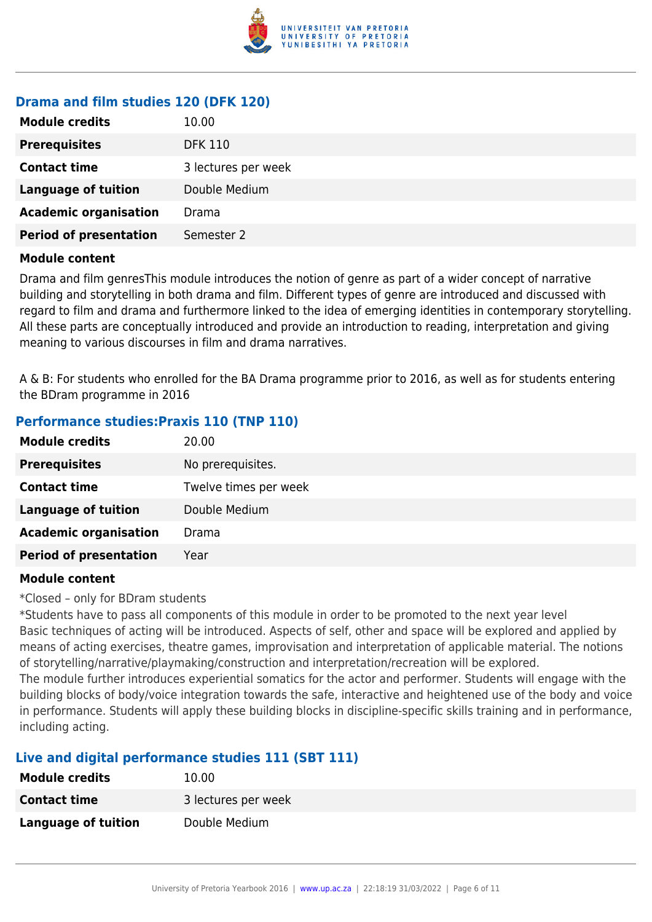

#### **Drama and film studies 120 (DFK 120)**

| <b>Module credits</b>         | 10.00               |
|-------------------------------|---------------------|
| <b>Prerequisites</b>          | <b>DFK 110</b>      |
| <b>Contact time</b>           | 3 lectures per week |
| Language of tuition           | Double Medium       |
| <b>Academic organisation</b>  | Drama               |
| <b>Period of presentation</b> | Semester 2          |
|                               |                     |

#### **Module content**

Drama and film genresThis module introduces the notion of genre as part of a wider concept of narrative building and storytelling in both drama and film. Different types of genre are introduced and discussed with regard to film and drama and furthermore linked to the idea of emerging identities in contemporary storytelling. All these parts are conceptually introduced and provide an introduction to reading, interpretation and giving meaning to various discourses in film and drama narratives.

A & B: For students who enrolled for the BA Drama programme prior to 2016, as well as for students entering the BDram programme in 2016

#### **Performance studies:Praxis 110 (TNP 110)**

| <b>Module credits</b>         | 20.00                 |
|-------------------------------|-----------------------|
| <b>Prerequisites</b>          | No prerequisites.     |
| <b>Contact time</b>           | Twelve times per week |
| <b>Language of tuition</b>    | Double Medium         |
| <b>Academic organisation</b>  | Drama                 |
| <b>Period of presentation</b> | Year                  |

#### **Module content**

\*Closed – only for BDram students

\*Students have to pass all components of this module in order to be promoted to the next year level Basic techniques of acting will be introduced. Aspects of self, other and space will be explored and applied by means of acting exercises, theatre games, improvisation and interpretation of applicable material. The notions of storytelling/narrative/playmaking/construction and interpretation/recreation will be explored.

The module further introduces experiential somatics for the actor and performer. Students will engage with the building blocks of body/voice integration towards the safe, interactive and heightened use of the body and voice in performance. Students will apply these building blocks in discipline-specific skills training and in performance, including acting.

#### **Live and digital performance studies 111 (SBT 111)**

| <b>Module credits</b> | 10.00               |
|-----------------------|---------------------|
| <b>Contact time</b>   | 3 lectures per week |
| Language of tuition   | Double Medium       |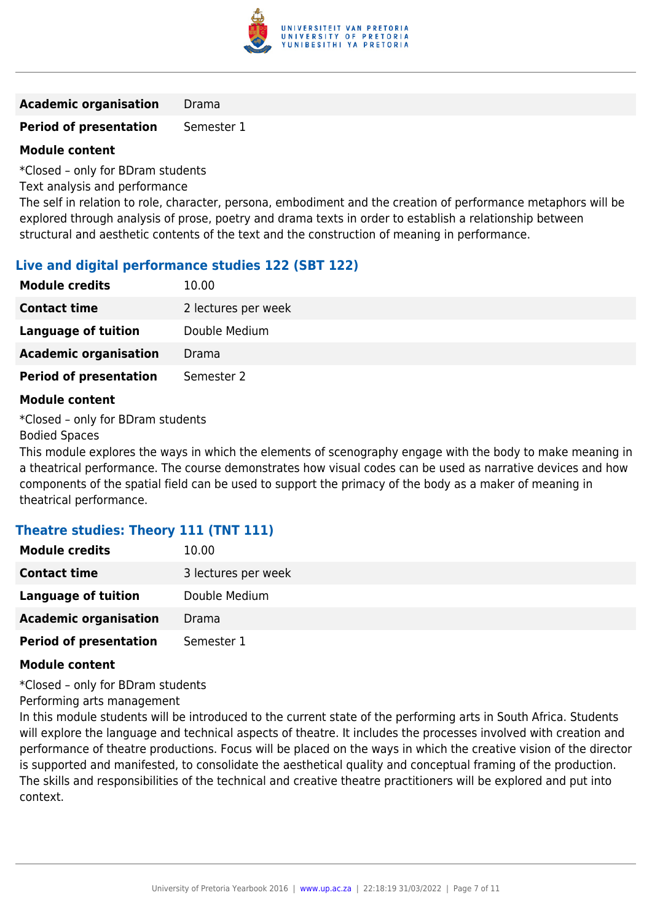

**Academic organisation** Drama

**Period of presentation** Semester 1

#### **Module content**

\*Closed – only for BDram students

Text analysis and performance

The self in relation to role, character, persona, embodiment and the creation of performance metaphors will be explored through analysis of prose, poetry and drama texts in order to establish a relationship between structural and aesthetic contents of the text and the construction of meaning in performance.

#### **Live and digital performance studies 122 (SBT 122)**

| <b>Module credits</b>         | 10.00               |
|-------------------------------|---------------------|
| <b>Contact time</b>           | 2 lectures per week |
| Language of tuition           | Double Medium       |
| <b>Academic organisation</b>  | Drama               |
| <b>Period of presentation</b> | Semester 2          |

#### **Module content**

\*Closed – only for BDram students Bodied Spaces

This module explores the ways in which the elements of scenography engage with the body to make meaning in a theatrical performance. The course demonstrates how visual codes can be used as narrative devices and how components of the spatial field can be used to support the primacy of the body as a maker of meaning in theatrical performance.

#### **Theatre studies: Theory 111 (TNT 111)**

| <b>Module credits</b>         | 10.00               |
|-------------------------------|---------------------|
| <b>Contact time</b>           | 3 lectures per week |
| Language of tuition           | Double Medium       |
| <b>Academic organisation</b>  | Drama               |
| <b>Period of presentation</b> | Semester 1          |

#### **Module content**

\*Closed – only for BDram students

Performing arts management

In this module students will be introduced to the current state of the performing arts in South Africa. Students will explore the language and technical aspects of theatre. It includes the processes involved with creation and performance of theatre productions. Focus will be placed on the ways in which the creative vision of the director is supported and manifested, to consolidate the aesthetical quality and conceptual framing of the production. The skills and responsibilities of the technical and creative theatre practitioners will be explored and put into context.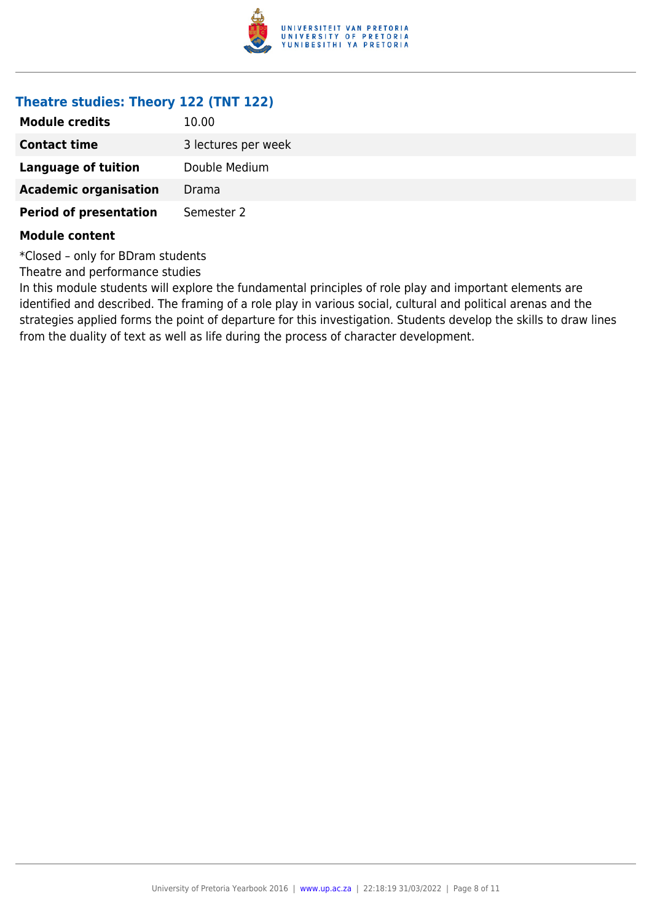

#### **Theatre studies: Theory 122 (TNT 122)**

| <b>Module credits</b>         | 10.00               |
|-------------------------------|---------------------|
| <b>Contact time</b>           | 3 lectures per week |
| Language of tuition           | Double Medium       |
| <b>Academic organisation</b>  | Drama               |
| <b>Period of presentation</b> | Semester 2          |
|                               |                     |

#### **Module content**

\*Closed – only for BDram students

Theatre and performance studies

In this module students will explore the fundamental principles of role play and important elements are identified and described. The framing of a role play in various social, cultural and political arenas and the strategies applied forms the point of departure for this investigation. Students develop the skills to draw lines from the duality of text as well as life during the process of character development.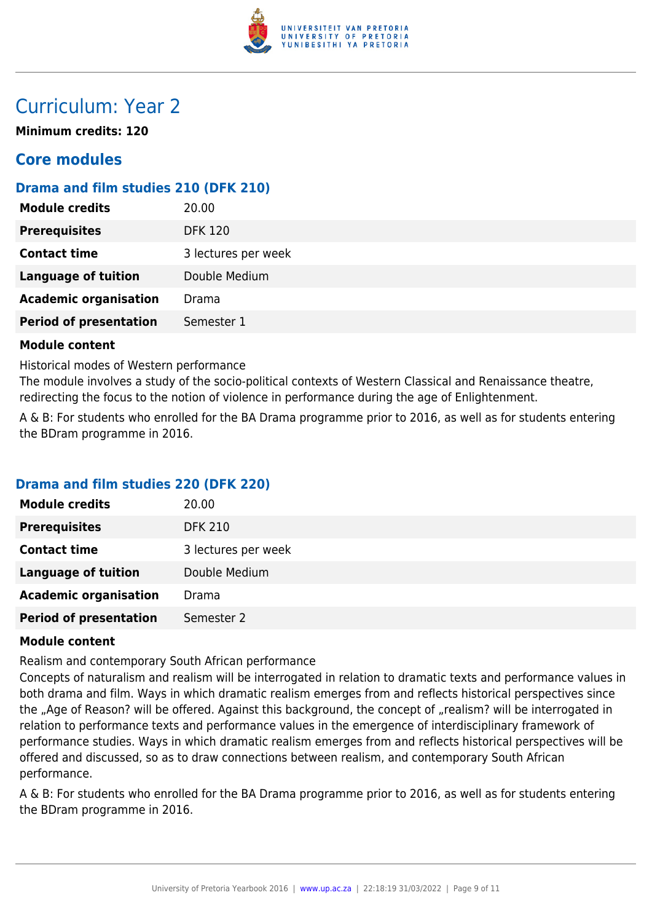

# Curriculum: Year 2

**Minimum credits: 120**

### **Core modules**

### **Drama and film studies 210 (DFK 210)**

| <b>Module credits</b>         | 20.00               |
|-------------------------------|---------------------|
| <b>Prerequisites</b>          | <b>DFK 120</b>      |
| <b>Contact time</b>           | 3 lectures per week |
| <b>Language of tuition</b>    | Double Medium       |
| <b>Academic organisation</b>  | Drama               |
| <b>Period of presentation</b> | Semester 1          |
|                               |                     |

#### **Module content**

Historical modes of Western performance

The module involves a study of the socio-political contexts of Western Classical and Renaissance theatre, redirecting the focus to the notion of violence in performance during the age of Enlightenment.

A & B: For students who enrolled for the BA Drama programme prior to 2016, as well as for students entering the BDram programme in 2016.

#### **Drama and film studies 220 (DFK 220)**

| <b>Module credits</b>         | 20.00               |
|-------------------------------|---------------------|
| <b>Prerequisites</b>          | <b>DFK 210</b>      |
| <b>Contact time</b>           | 3 lectures per week |
| <b>Language of tuition</b>    | Double Medium       |
| <b>Academic organisation</b>  | Drama               |
| <b>Period of presentation</b> | Semester 2          |
|                               |                     |

#### **Module content**

Realism and contemporary South African performance

Concepts of naturalism and realism will be interrogated in relation to dramatic texts and performance values in both drama and film. Ways in which dramatic realism emerges from and reflects historical perspectives since the "Age of Reason? will be offered. Against this background, the concept of "realism? will be interrogated in relation to performance texts and performance values in the emergence of interdisciplinary framework of performance studies. Ways in which dramatic realism emerges from and reflects historical perspectives will be offered and discussed, so as to draw connections between realism, and contemporary South African performance.

A & B: For students who enrolled for the BA Drama programme prior to 2016, as well as for students entering the BDram programme in 2016.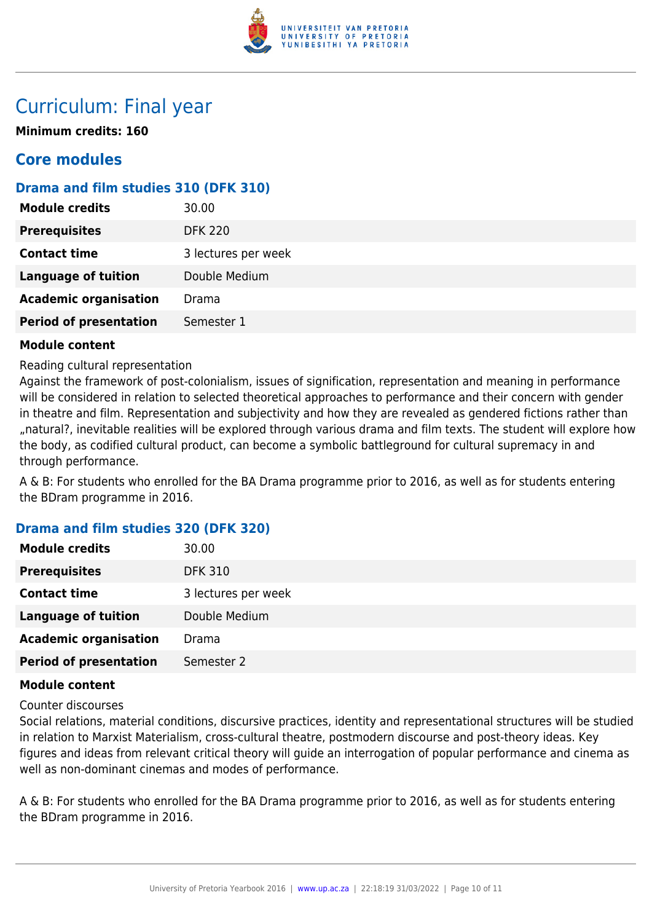

# Curriculum: Final year

**Minimum credits: 160**

### **Core modules**

### **Drama and film studies 310 (DFK 310)**

| <b>Prerequisites</b><br><b>DFK 220</b><br><b>Contact time</b><br>3 lectures per week<br><b>Language of tuition</b><br>Double Medium<br><b>Academic organisation</b><br>Drama | <b>Module credits</b>         | 30.00      |
|------------------------------------------------------------------------------------------------------------------------------------------------------------------------------|-------------------------------|------------|
|                                                                                                                                                                              |                               |            |
|                                                                                                                                                                              |                               |            |
|                                                                                                                                                                              |                               |            |
|                                                                                                                                                                              |                               |            |
|                                                                                                                                                                              | <b>Period of presentation</b> | Semester 1 |

#### **Module content**

Reading cultural representation

Against the framework of post-colonialism, issues of signification, representation and meaning in performance will be considered in relation to selected theoretical approaches to performance and their concern with gender in theatre and film. Representation and subjectivity and how they are revealed as gendered fictions rather than "natural?, inevitable realities will be explored through various drama and film texts. The student will explore how the body, as codified cultural product, can become a symbolic battleground for cultural supremacy in and through performance.

A & B: For students who enrolled for the BA Drama programme prior to 2016, as well as for students entering the BDram programme in 2016.

#### **Drama and film studies 320 (DFK 320)**

| <b>Module credits</b>         | 30.00               |
|-------------------------------|---------------------|
| <b>Prerequisites</b>          | <b>DFK 310</b>      |
| <b>Contact time</b>           | 3 lectures per week |
| <b>Language of tuition</b>    | Double Medium       |
| <b>Academic organisation</b>  | Drama               |
| <b>Period of presentation</b> | Semester 2          |

#### **Module content**

Counter discourses

Social relations, material conditions, discursive practices, identity and representational structures will be studied in relation to Marxist Materialism, cross-cultural theatre, postmodern discourse and post-theory ideas. Key figures and ideas from relevant critical theory will guide an interrogation of popular performance and cinema as well as non-dominant cinemas and modes of performance.

A & B: For students who enrolled for the BA Drama programme prior to 2016, as well as for students entering the BDram programme in 2016.